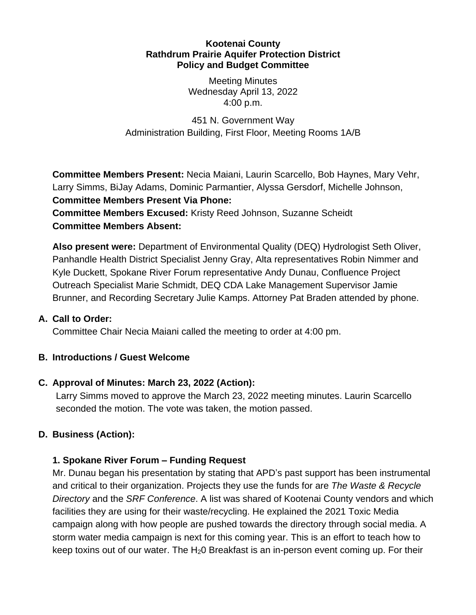#### **Kootenai County Rathdrum Prairie Aquifer Protection District Policy and Budget Committee**

Meeting Minutes Wednesday April 13, 2022 4:00 p.m.

451 N. Government Way Administration Building, First Floor, Meeting Rooms 1A/B

**Committee Members Present:** Necia Maiani, Laurin Scarcello, Bob Haynes, Mary Vehr, Larry Simms, BiJay Adams, Dominic Parmantier, Alyssa Gersdorf, Michelle Johnson, **Committee Members Present Via Phone:**

**Committee Members Excused:** Kristy Reed Johnson, Suzanne Scheidt **Committee Members Absent:**

**Also present were:** Department of Environmental Quality (DEQ) Hydrologist Seth Oliver, Panhandle Health District Specialist Jenny Gray, Alta representatives Robin Nimmer and Kyle Duckett, Spokane River Forum representative Andy Dunau, Confluence Project Outreach Specialist Marie Schmidt, DEQ CDA Lake Management Supervisor Jamie Brunner, and Recording Secretary Julie Kamps. Attorney Pat Braden attended by phone.

#### **A. Call to Order:**

Committee Chair Necia Maiani called the meeting to order at 4:00 pm.

## **B. Introductions / Guest Welcome**

## **C. Approval of Minutes: March 23, 2022 (Action):**

Larry Simms moved to approve the March 23, 2022 meeting minutes. Laurin Scarcello seconded the motion. The vote was taken, the motion passed.

# **D. Business (Action):**

## **1. Spokane River Forum – Funding Request**

Mr. Dunau began his presentation by stating that APD's past support has been instrumental and critical to their organization. Projects they use the funds for are *The Waste & Recycle Directory* and the *SRF Conference*. A list was shared of Kootenai County vendors and which facilities they are using for their waste/recycling. He explained the 2021 Toxic Media campaign along with how people are pushed towards the directory through social media. A storm water media campaign is next for this coming year. This is an effort to teach how to keep toxins out of our water. The  $H<sub>2</sub>0$  Breakfast is an in-person event coming up. For their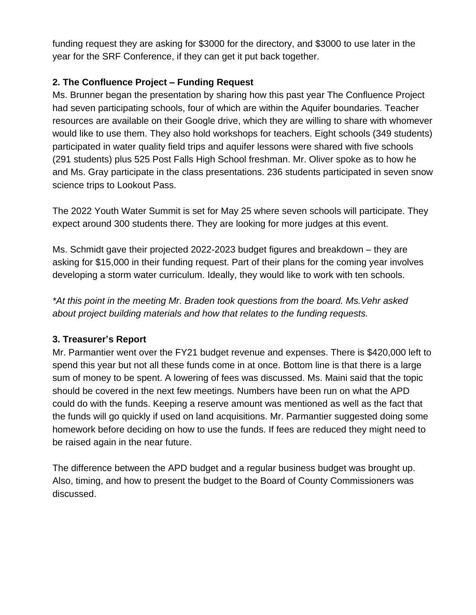funding request they are asking for \$3000 for the directory, and \$3000 to use later in the year for the SRF Conference, if they can get it put back together.

#### **2. The Confluence Project – Funding Request**

Ms. Brunner began the presentation by sharing how this past year The Confluence Project had seven participating schools, four of which are within the Aquifer boundaries. Teacher resources are available on their Google drive, which they are willing to share with whomever would like to use them. They also hold workshops for teachers. Eight schools (349 students) participated in water quality field trips and aquifer lessons were shared with five schools (291 students) plus 525 Post Falls High School freshman. Mr. Oliver spoke as to how he and Ms. Gray participate in the class presentations. 236 students participated in seven snow science trips to Lookout Pass.

The 2022 Youth Water Summit is set for May 25 where seven schools will participate. They expect around 300 students there. They are looking for more judges at this event.

Ms. Schmidt gave their projected 2022-2023 budget figures and breakdown – they are asking for \$15,000 in their funding request. Part of their plans for the coming year involves developing a storm water curriculum. Ideally, they would like to work with ten schools.

*\*At this point in the meeting Mr. Braden took questions from the board. Ms.Vehr asked about project building materials and how that relates to the funding requests.*

## **3. Treasurer's Report**

Mr. Parmantier went over the FY21 budget revenue and expenses. There is \$420,000 left to spend this year but not all these funds come in at once. Bottom line is that there is a large sum of money to be spent. A lowering of fees was discussed. Ms. Maini said that the topic should be covered in the next few meetings. Numbers have been run on what the APD could do with the funds. Keeping a reserve amount was mentioned as well as the fact that the funds will go quickly if used on land acquisitions. Mr. Parmantier suggested doing some homework before deciding on how to use the funds. If fees are reduced they might need to be raised again in the near future.

The difference between the APD budget and a regular business budget was brought up. Also, timing, and how to present the budget to the Board of County Commissioners was discussed.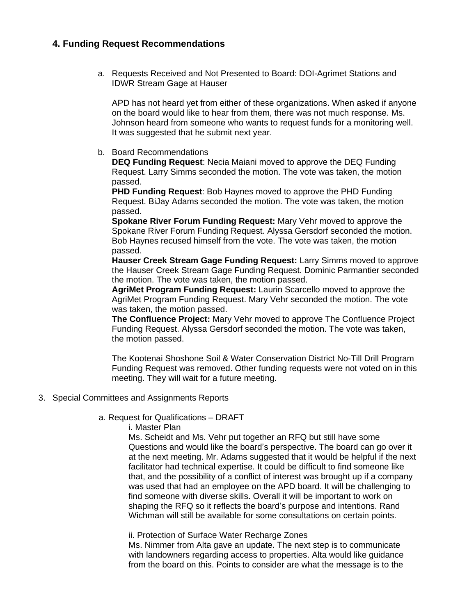#### **4. Funding Request Recommendations**

a. Requests Received and Not Presented to Board: DOI-Agrimet Stations and IDWR Stream Gage at Hauser

APD has not heard yet from either of these organizations. When asked if anyone on the board would like to hear from them, there was not much response. Ms. Johnson heard from someone who wants to request funds for a monitoring well. It was suggested that he submit next year.

b. Board Recommendations

**DEQ Funding Request**: Necia Maiani moved to approve the DEQ Funding Request. Larry Simms seconded the motion. The vote was taken, the motion passed.

**PHD Funding Request**: Bob Haynes moved to approve the PHD Funding Request. BiJay Adams seconded the motion. The vote was taken, the motion passed.

**Spokane River Forum Funding Request:** Mary Vehr moved to approve the Spokane River Forum Funding Request. Alyssa Gersdorf seconded the motion. Bob Haynes recused himself from the vote. The vote was taken, the motion passed.

**Hauser Creek Stream Gage Funding Request:** Larry Simms moved to approve the Hauser Creek Stream Gage Funding Request. Dominic Parmantier seconded the motion. The vote was taken, the motion passed.

**AgriMet Program Funding Request:** Laurin Scarcello moved to approve the AgriMet Program Funding Request. Mary Vehr seconded the motion. The vote was taken, the motion passed.

**The Confluence Project:** Mary Vehr moved to approve The Confluence Project Funding Request. Alyssa Gersdorf seconded the motion. The vote was taken, the motion passed.

The Kootenai Shoshone Soil & Water Conservation District No-Till Drill Program Funding Request was removed. Other funding requests were not voted on in this meeting. They will wait for a future meeting.

- 3. Special Committees and Assignments Reports
	- a. Request for Qualifications DRAFT

i. Master Plan

 Ms. Scheidt and Ms. Vehr put together an RFQ but still have some Questions and would like the board's perspective. The board can go over it at the next meeting. Mr. Adams suggested that it would be helpful if the next facilitator had technical expertise. It could be difficult to find someone like that, and the possibility of a conflict of interest was brought up if a company was used that had an employee on the APD board. It will be challenging to find someone with diverse skills. Overall it will be important to work on shaping the RFQ so it reflects the board's purpose and intentions. Rand Wichman will still be available for some consultations on certain points.

ii. Protection of Surface Water Recharge Zones

 Ms. Nimmer from Alta gave an update. The next step is to communicate with landowners regarding access to properties. Alta would like guidance from the board on this. Points to consider are what the message is to the